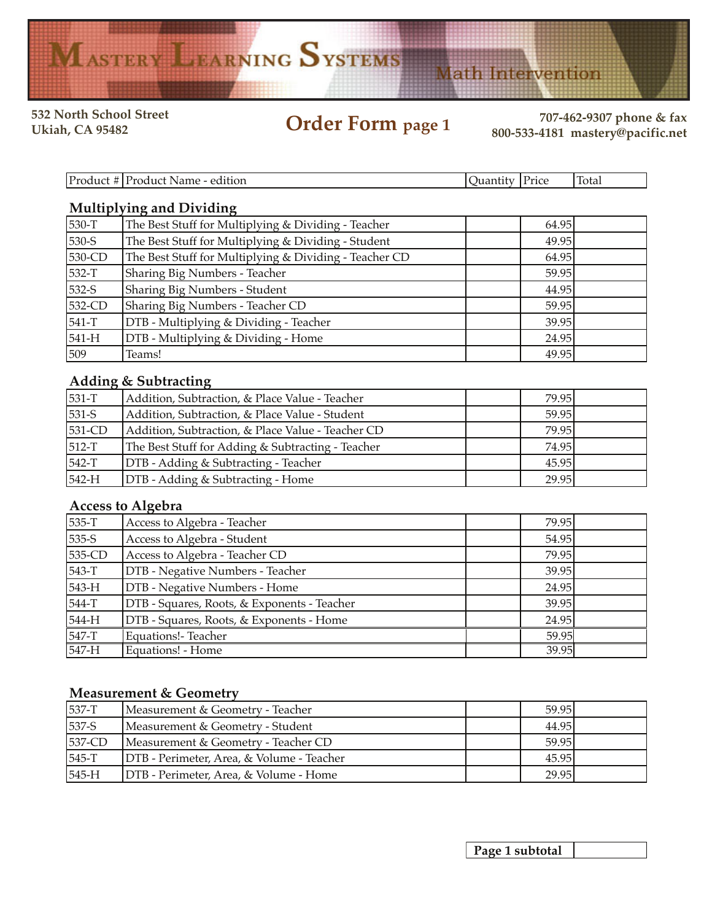# MASTERY LEARNING SYSTEMS

**532 North School Street**

**Order Form page 1 Ukiah, CA 95482 707-462-9307 phone & fax 800-533-4181 mastery@pacific.net**

**Math Intervention** 

| D <sub>11</sub><br>2222<br>.oduct.<br>edition<br>Name -<br>moque | лıа | Price | lm<br>total |
|------------------------------------------------------------------|-----|-------|-------------|

# **Multiplying and Dividing**

| 530-T   | The Best Stuff for Multiplying & Dividing - Teacher    | 64.95 |  |
|---------|--------------------------------------------------------|-------|--|
| 530-S   | The Best Stuff for Multiplying & Dividing - Student    | 49.95 |  |
| 530-CD  | The Best Stuff for Multiplying & Dividing - Teacher CD | 64.95 |  |
| 532-T   | Sharing Big Numbers - Teacher                          | 59.95 |  |
| 532-S   | Sharing Big Numbers - Student                          | 44.95 |  |
| 532-CD  | Sharing Big Numbers - Teacher CD                       | 59.95 |  |
| 541-T   | DTB - Multiplying & Dividing - Teacher                 | 39.95 |  |
| $541-H$ | DTB - Multiplying & Dividing - Home                    | 24.95 |  |
| 509     | Teams!                                                 | 49.95 |  |

# **Adding & Subtracting**

| 531-T   | Addition, Subtraction, & Place Value - Teacher    | 79.95 |  |
|---------|---------------------------------------------------|-------|--|
| 531-S   | Addition, Subtraction, & Place Value - Student    | 59.95 |  |
| 531-CD  | Addition, Subtraction, & Place Value - Teacher CD | 79.95 |  |
| $512-T$ | The Best Stuff for Adding & Subtracting - Teacher | 74.95 |  |
| $542-T$ | <b>DTB</b> - Adding & Subtracting - Teacher       | 45.95 |  |
| $542-H$ | <b>DTB</b> - Adding & Subtracting - Home          | 29.95 |  |

### **Access to Algebra**

| 535-T   | Access to Algebra - Teacher                 | 79.95 |  |
|---------|---------------------------------------------|-------|--|
| 535-S   | Access to Algebra - Student                 | 54.95 |  |
| 535-CD  | Access to Algebra - Teacher CD              | 79.95 |  |
| 543-T   | DTB - Negative Numbers - Teacher            | 39.95 |  |
| $543-H$ | DTB - Negative Numbers - Home               | 24.95 |  |
| 544-T   | DTB - Squares, Roots, & Exponents - Teacher | 39.95 |  |
| 544-H   | DTB - Squares, Roots, & Exponents - Home    | 24.95 |  |
| $547-T$ | <b>Equations!- Teacher</b>                  | 59.95 |  |
| $547-H$ | Equations! - Home                           | 39.95 |  |

### **Measurement & Geometry**

| $537-T$   | Measurement & Geometry - Teacher          | 59.95 |  |
|-----------|-------------------------------------------|-------|--|
| $537-S$   | Measurement & Geometry - Student          | 44.95 |  |
| $537$ -CD | Measurement & Geometry - Teacher CD       | 59.95 |  |
| 545-T     | DTB - Perimeter, Area, & Volume - Teacher | 45.95 |  |
| $545-H$   | DTB - Perimeter, Area, & Volume - Home    | 29.95 |  |

**Page 1 subtotal**